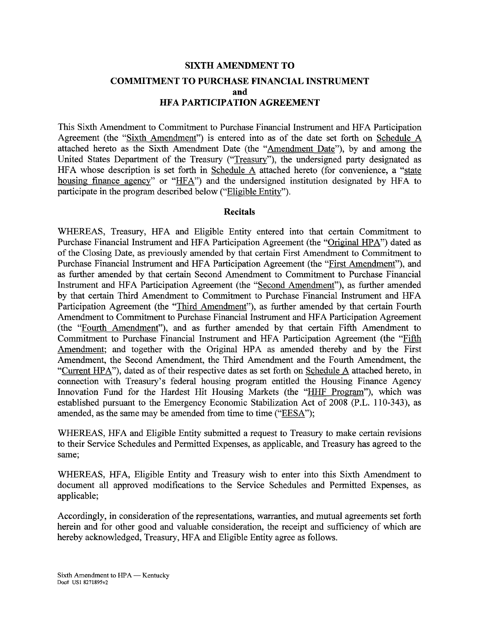# **SIXTH AMENDMENT TO COMMITMENT TO PURCHASE FINANCIAL INSTRUMENT and HFA PARTICIPATION AGREEMENT**

This Sixth Amendment to Commitment to Purchase Financial Instrument and HFA Participation Agreement (the "Sixth Amendment"^) is entered into as of the date set forth on Schedule A attached hereto as the Sixth Amendment Date (the "Amendment Date"), by and among the United States Department of the Treasury ("Treasury"), the undersigned party designated as HFA whose description is set forth in Schedule A attached hereto (for convenience, a "state housing finance agency" or "HFA") and the undersigned institution designated by HFA to participate in the program described below ("Eligible Entity").

### **Recitals**

WHEREAS, Treasury, HFA and Eligible Entity entered into that certain Commitment to Purchase Financial Instrument and HFA Participation Agreement (the "Original HPA") dated as of the Closing Date, as previously amended by that certain First Amendment to Commitment to Purchase Financial Instrument and HFA Participation Agreement (the "First Amendment"), and as further amended by that certain Second Amendment to Commitment to Purchase Financial Instrument and HFA Participation Agreement (the "Second Amendment"), as further amended by that certain Third Amendment to Commitment to Purchase Financial Instrument and HFA Participation Agreement (the "Third Amendment"), as further amended by that certain Fourth Amendment to Commitment to Purchase Financial Instrument and HFA Participation Agreement (the "Fourth Amendment"), and as further amended by that certain Fifth Amendment to Commitment to Purchase Financial Instrument and HFA Participation Agreement (the "Fifth Amendment; and together with the Original HPA as amended thereby and by the First Amendment, the Second Amendment, the Third Amendment and the Fourth Amendment, the "Current HPA"), dated as of their respective dates as set forth on Schedule A attached hereto, in connection with Treasury's federal housing program entitled the Housing Finance Agency Innovation Fund for the Hardest Hit Housing Markets (the "HHF Program"), which was established pursuant to the Emergency Economic Stabilization Act of 2008 (P.L. 110-343), as amended, as the same may be amended from time to time ("EESA");

WHEREAS, HFA and Eligible Entity submitted a request to Treasury to make certain revisions to their Service Schedules and Permitted Expenses, as applicable, and Treasury has agreed to the same;

WHEREAS, HFA, Eligible Entity and Treasury wish to enter into this Sixth Amendment to document all approved modifications to the Service Schedules and Permitted Expenses, as applicable;

Accordingly, in consideration of the representations, warranties, and mutual agreements set forth herein and for other good and valuable consideration, the receipt and sufficiency of which are hereby acknowledged, Treasury, HFA and Eligible Entity agree as follows.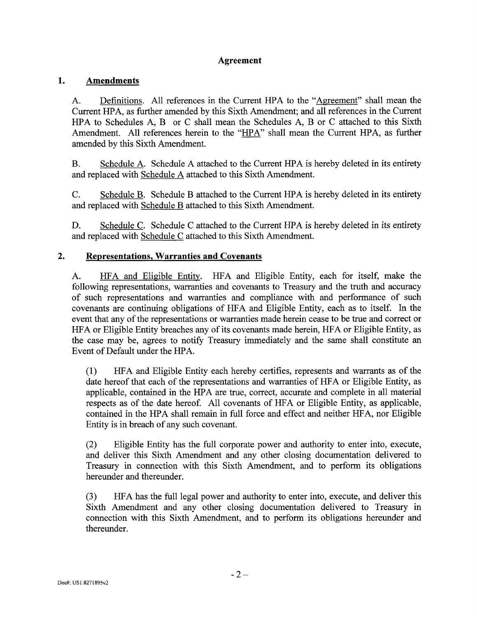# **Agreement**

#### $1.$ **Amendments**

A. Definitions. All references in the Current HPA to the "Agreement" shall mean the Current HPA, as further amended by this Sixth Amendment; and all references in the Current HPA to Schedules A, B or C shall mean the Schedules A, B or C attached to this Sixth Amendment. All references herein to the "HPA" shall mean the Current HPA, as further amended by this Sixth Amendment.

B. Schedule A. Schedule A attached to the Current HPA is hereby deleted in its entirety and replaced with Schedule A attached to this Sixth Amendment.

C. Schedule B. Schedule B attached to the Current HPA is hereby deleted in its entirety and replaced with Schedule B attached to this Sixth Amendment.

D. Schedule C. Schedule C attached to the Current HPA is hereby deleted in its entirety and replaced with Schedule C attached to this Sixth Amendment.

#### $2.$ **Representations, Warranties and Covenants**

A. HFA and Eligible Entity. HFA and Eligible Entity, each for itself, make the following representations, warranties and covenants to Treasury and the truth and accuracy of such representations and warranties and compliance with and performance of such covenants are continuing obligations of HFA and Eligible Entity, each as to itself. In the event that any of the representations or warranties made herein cease to be true and correct or HFA or Eligible Entity breaches any of its covenants made herein, HFA or Eligible Entity, as the case may be, agrees to notify Treasury immediately and the same shall constitute an Event of Default under the HPA.

(1) HFA and Eligible Entity each hereby certifies, represents and warrants as of the date hereof that each of the representations and warranties of HFA or Eligible Entity, as applicable, contained in the HPA are true, correct, accurate and complete in all material respects as of the date hereof. All covenants of HFA or Eligible Entity, as applicable, contained in the HPA shall remain in full force and effect and neither HFA, nor Eligible Entity is in breach of any such covenant.

(2) Eligible Entity has the full corporate power and authority to enter into, execute, and deliver this Sixth Amendment and any other closing documentation delivered to Treasury in connection with this Sixth Amendment, and to perform its obligations hereunder and thereunder.

(3) HFA has the full legal power and authority to enter into, execute, and deliver this Sixth Amendment and any other closing documentation delivered to Treasury in connection with this Sixth Amendment, and to perform its obligations hereunder and thereunder.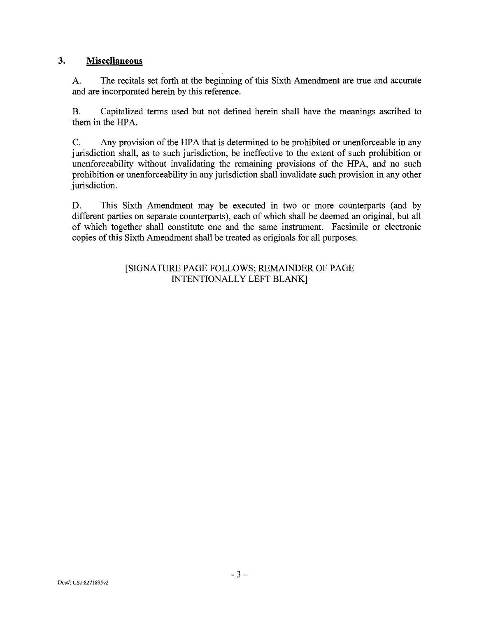## **3. Miscellaneous**

A. The recitals set forth at the beginning of this Sixth Amendment are true and accurate and are incorporated herein by this reference.

B. Capitalized terms used but not defined herein shall have the meanings ascribed to them in the HPA.

C. Any provision of the HPA that is determined to be prohibited or unenforceable in any jurisdiction shall, as to such jurisdiction, be ineffective to the extent of such prohibition or unenforceability without invalidating the remaining provisions of the HPA, and no such prohibition or unenforceability in any jurisdiction shall invalidate sueh provision in any other jurisdiction.

D. This Sixth Amendment may be executed in two or more counterparts (and by different parties on separate counterparts), each of which shall be deemed an original, but all of which together shall constitute one and the same instrument. Facsimile or electronic copies of this Sixth Amendment shall be treated as originals for all purposes.

# [SIGNATURE PAGE FOLLOWS; REMAINDER OF PAGE INTENTIONALLY LEFT BLANK]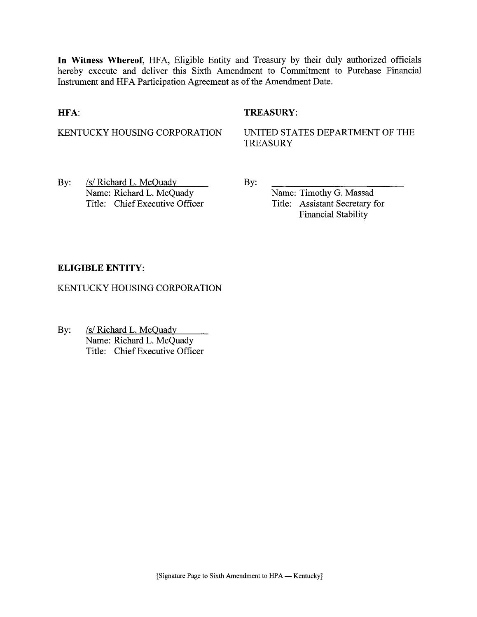**In Witness Whereof,** HFA, Eligible Entity and Treasury by their duly authorized officials hereby execute and deliver this Sixth Amendment to Commitment to Purchase Financial Instrument and HFA Participation Agreement as of the Amendment Date.

### **HFA:**

## **TREASURY:**

KENTUCKY HOUSING CORPORATION

UNITED STATES DEPARTMENT OF THE **TREASURY** 

By: /s/ Richard L. McQuady Name: Richard L. McQuady Title: Chief Executive Officer By:

Name: Timothy G. Massad Title: Assistant Secretary for Financial Stability

## **ELIGIBLE ENTITY:**

KENTUCKY HOUSING CORPORATION

By: **ISON** SS Richard L. McQuady Name: Richard L. McQuady Title: Chief Executive Officer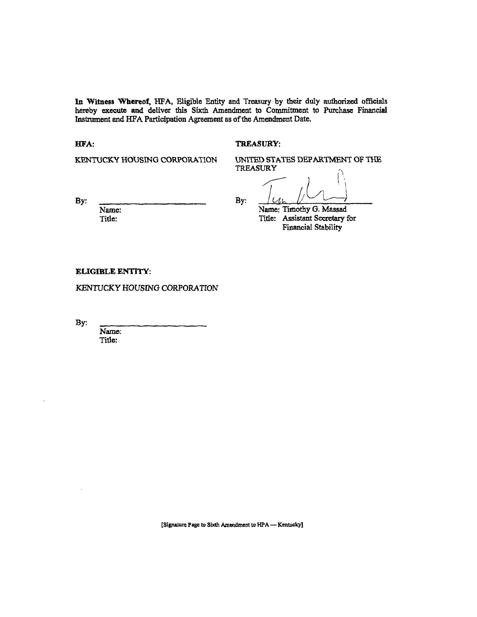**In Witness "Whereof,** HFA, Eligible Entity and Treasury by their duly authorized officials hereby execute and deliver this Sixth Amendment to Commitment to Purchase Financial Instrument and HFA Participation Agreement as of the Amendment Date.

#### **HFA:** TREASURY:

KENTUCKY HOUSING CORPORATION UNITED STATES DEPARTMENT OF THE **TREASURY** 

By: <u>January: By: January: By: January: By: January: January: January: January: January: January: January: January: January: January: January: January: January: January: January: January: January: January: January: January</u> Name: Name: Timothy G. Massad<br>Title: Name: Timothy G. Massad<br>Title: Assistant Secretary Title: Assistant Secretary for Financial Stability

**ELIGIBLE** ENTITY:

KENTUCKY HOUSING CORPORATION

By:

Name; Title:

[Signature Page to Sixth Amendment to HPA -- Kentucky]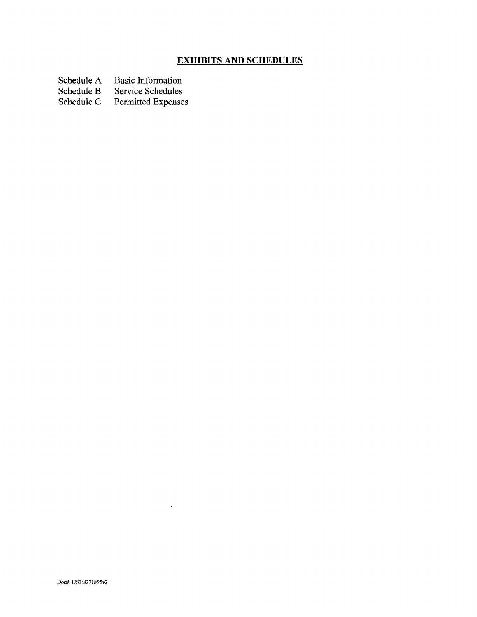# **EXHIBITS AND SCHEDULES**

Schedule A Basic Information<br>Schedule B Service Schedules

Schedule B Service Schedules<br>Schedule C Permitted Expense

Permitted Expenses

 $\mathcal{A}^{\mathcal{A}}$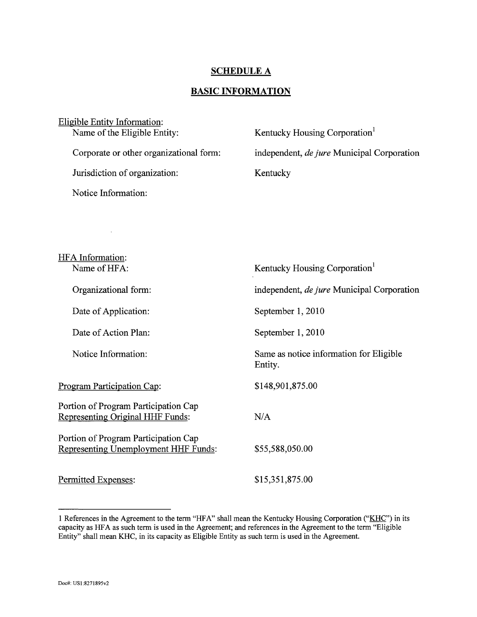## **SCHEDULE A**

## **BASIC INFORMATION**

| Eligible Entity Information: |                                         |                                            |  |
|------------------------------|-----------------------------------------|--------------------------------------------|--|
|                              | Name of the Eligible Entity:            | Kentucky Housing Corporation <sup>1</sup>  |  |
|                              |                                         |                                            |  |
|                              | Corporate or other organizational form: | independent, de jure Municipal Corporation |  |
|                              |                                         |                                            |  |
|                              | Jurisdiction of organization:           | Kentucky                                   |  |
|                              |                                         |                                            |  |
|                              | Notice Information:                     |                                            |  |
|                              |                                         |                                            |  |

| HFA Information:<br>Name of HFA:                                             | Kentucky Housing Corporation <sup>1</sup>          |
|------------------------------------------------------------------------------|----------------------------------------------------|
| Organizational form:                                                         | independent, <i>de jure</i> Municipal Corporation  |
| Date of Application:                                                         | September 1, 2010                                  |
| Date of Action Plan:                                                         | September 1, 2010                                  |
| Notice Information:                                                          | Same as notice information for Eligible<br>Entity. |
| Program Participation Cap:                                                   | \$148,901,875.00                                   |
| Portion of Program Participation Cap<br>Representing Original HHF Funds:     | N/A                                                |
| Portion of Program Participation Cap<br>Representing Unemployment HHF Funds: | \$55,588,050.00                                    |
| Permitted Expenses:                                                          | \$15,351,875.00                                    |

 $\ddot{\phantom{a}}$ 

<sup>1</sup> References in the Agreement to the term "HFA" shall mean the Kentucky Housing Corporation ("KHC") in its capacity as HFA as such term is used in the Agreement; and references in the Agreement to the term "Eligible Entity" shall mean KHC, in its capacity as Eligible Entity as such term is used in the Agreement.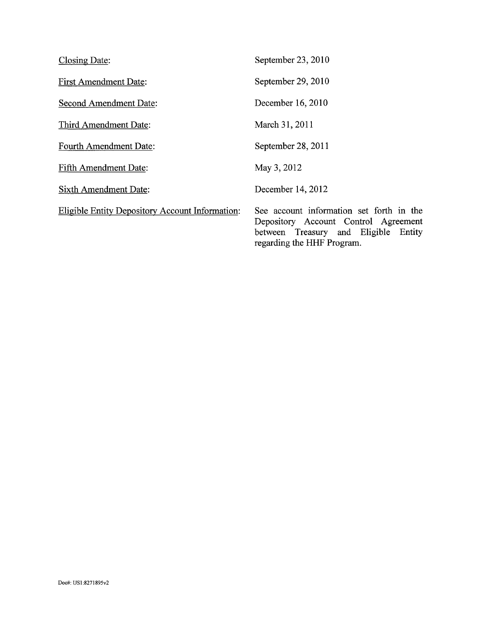| <b>Closing Date:</b>                                   | September 23, 2010                                                                                                                                     |
|--------------------------------------------------------|--------------------------------------------------------------------------------------------------------------------------------------------------------|
| <b>First Amendment Date:</b>                           | September 29, 2010                                                                                                                                     |
| <b>Second Amendment Date:</b>                          | December 16, 2010                                                                                                                                      |
| Third Amendment Date:                                  | March 31, 2011                                                                                                                                         |
| <b>Fourth Amendment Date:</b>                          | September 28, 2011                                                                                                                                     |
| Fifth Amendment Date:                                  | May 3, 2012                                                                                                                                            |
| <b>Sixth Amendment Date:</b>                           | December 14, 2012                                                                                                                                      |
| <b>Eligible Entity Depository Account Information:</b> | See account information set forth in the<br>Depository Account Control Agreement<br>between Treasury and Eligible Entity<br>regarding the HHF Program. |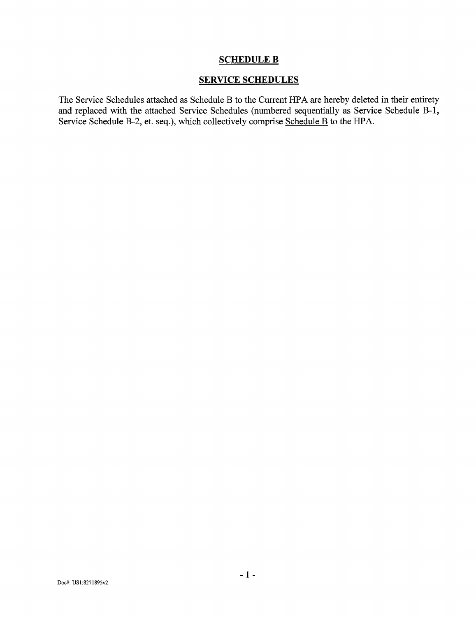## SCHEDULE B

# SERVICE SCHEDULES

The Service Schedules attached as Schedule B to the Current HPA are hereby deleted in their entirety and replaced with the attached Service Schedules (numbered sequentially as Service Schedule B-l, Service Schedule B-2, et. seq.), which collectively comprise Schedule B to the HPA.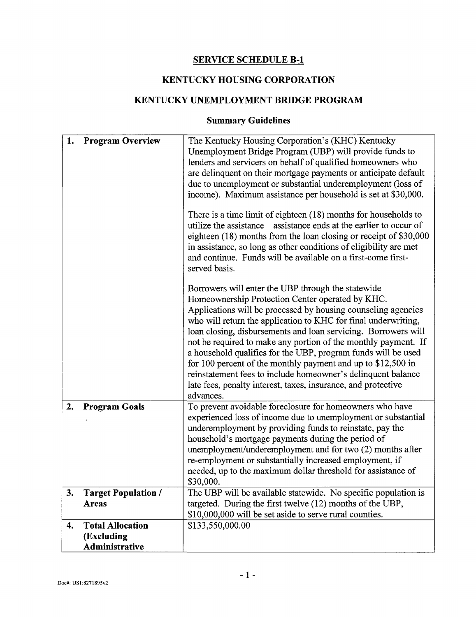# SERVICE SCHEDULE B-l

# KENTUCKY HOUSING CORPORATION

# KENTUCKY UNEMPLOYMENT BRIDGE PROGRAM

# Summary Guidelines

| 1. | <b>Program Overview</b>                                 | The Kentucky Housing Corporation's (KHC) Kentucky<br>Unemployment Bridge Program (UBP) will provide funds to<br>lenders and servicers on behalf of qualified homeowners who<br>are delinquent on their mortgage payments or anticipate default<br>due to unemployment or substantial underemployment (loss of<br>income). Maximum assistance per household is set at \$30,000.<br>There is a time limit of eighteen (18) months for households to<br>utilize the assistance – assistance ends at the earlier to occur of<br>eighteen (18) months from the loan closing or receipt of \$30,000<br>in assistance, so long as other conditions of eligibility are met<br>and continue. Funds will be available on a first-come first-<br>served basis.<br>Borrowers will enter the UBP through the statewide<br>Homeownership Protection Center operated by KHC.<br>Applications will be processed by housing counseling agencies<br>who will return the application to KHC for final underwriting,<br>loan closing, disbursements and loan servicing. Borrowers will<br>not be required to make any portion of the monthly payment. If<br>a household qualifies for the UBP, program funds will be used<br>for 100 percent of the monthly payment and up to \$12,500 in<br>reinstatement fees to include homeowner's delinquent balance<br>late fees, penalty interest, taxes, insurance, and protective |
|----|---------------------------------------------------------|--------------------------------------------------------------------------------------------------------------------------------------------------------------------------------------------------------------------------------------------------------------------------------------------------------------------------------------------------------------------------------------------------------------------------------------------------------------------------------------------------------------------------------------------------------------------------------------------------------------------------------------------------------------------------------------------------------------------------------------------------------------------------------------------------------------------------------------------------------------------------------------------------------------------------------------------------------------------------------------------------------------------------------------------------------------------------------------------------------------------------------------------------------------------------------------------------------------------------------------------------------------------------------------------------------------------------------------------------------------------------------------------------------|
| 2. | <b>Program Goals</b>                                    | advances.<br>To prevent avoidable foreclosure for homeowners who have<br>experienced loss of income due to unemployment or substantial<br>under employment by providing funds to reinstate, pay the<br>household's mortgage payments during the period of<br>unemployment/underemployment and for two (2) months after<br>re-employment or substantially increased employment, if<br>needed, up to the maximum dollar threshold for assistance of<br>\$30,000.                                                                                                                                                                                                                                                                                                                                                                                                                                                                                                                                                                                                                                                                                                                                                                                                                                                                                                                                         |
| 3. | <b>Target Population /</b><br><b>Areas</b>              | The UBP will be available statewide. No specific population is<br>targeted. During the first twelve (12) months of the UBP,<br>\$10,000,000 will be set aside to serve rural counties.                                                                                                                                                                                                                                                                                                                                                                                                                                                                                                                                                                                                                                                                                                                                                                                                                                                                                                                                                                                                                                                                                                                                                                                                                 |
| 4. | <b>Total Allocation</b><br>(Excluding<br>Administrative | \$133,550,000.00                                                                                                                                                                                                                                                                                                                                                                                                                                                                                                                                                                                                                                                                                                                                                                                                                                                                                                                                                                                                                                                                                                                                                                                                                                                                                                                                                                                       |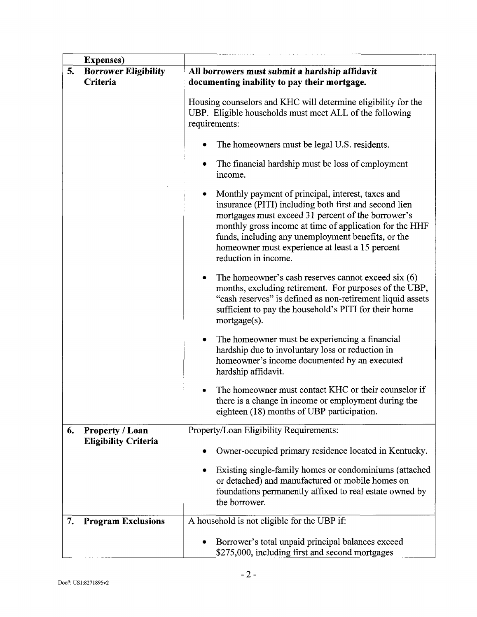|    | <b>Expenses</b> )           |                                                                                                                                                                                                                                                                                                                                                              |
|----|-----------------------------|--------------------------------------------------------------------------------------------------------------------------------------------------------------------------------------------------------------------------------------------------------------------------------------------------------------------------------------------------------------|
| 5. | <b>Borrower Eligibility</b> | All borrowers must submit a hardship affidavit                                                                                                                                                                                                                                                                                                               |
|    | Criteria                    | documenting inability to pay their mortgage.                                                                                                                                                                                                                                                                                                                 |
|    |                             | Housing counselors and KHC will determine eligibility for the<br>UBP. Eligible households must meet ALL of the following<br>requirements:<br>The homeowners must be legal U.S. residents.<br>٠<br>The financial hardship must be loss of employment<br>٠                                                                                                     |
|    |                             | income.                                                                                                                                                                                                                                                                                                                                                      |
|    |                             | Monthly payment of principal, interest, taxes and<br>insurance (PITI) including both first and second lien<br>mortgages must exceed 31 percent of the borrower's<br>monthly gross income at time of application for the HHF<br>funds, including any unemployment benefits, or the<br>homeowner must experience at least a 15 percent<br>reduction in income. |
|    |                             | The homeowner's cash reserves cannot exceed six $(6)$<br>٠<br>months, excluding retirement. For purposes of the UBP,<br>"cash reserves" is defined as non-retirement liquid assets<br>sufficient to pay the household's PITI for their home<br>mortgage(s).                                                                                                  |
|    |                             | The homeowner must be experiencing a financial<br>٠<br>hardship due to involuntary loss or reduction in<br>homeowner's income documented by an executed<br>hardship affidavit.                                                                                                                                                                               |
|    |                             | The homeowner must contact KHC or their counselor if<br>there is a change in income or employment during the<br>eighteen (18) months of UBP participation.                                                                                                                                                                                                   |
| 6. | <b>Property / Loan</b>      | Property/Loan Eligibility Requirements:                                                                                                                                                                                                                                                                                                                      |
|    | <b>Eligibility Criteria</b> | Owner-occupied primary residence located in Kentucky.                                                                                                                                                                                                                                                                                                        |
|    |                             | Existing single-family homes or condominiums (attached<br>or detached) and manufactured or mobile homes on<br>foundations permanently affixed to real estate owned by<br>the borrower.                                                                                                                                                                       |
| 7. | <b>Program Exclusions</b>   | A household is not eligible for the UBP if:                                                                                                                                                                                                                                                                                                                  |
|    |                             | Borrower's total unpaid principal balances exceed<br>\$275,000, including first and second mortgages                                                                                                                                                                                                                                                         |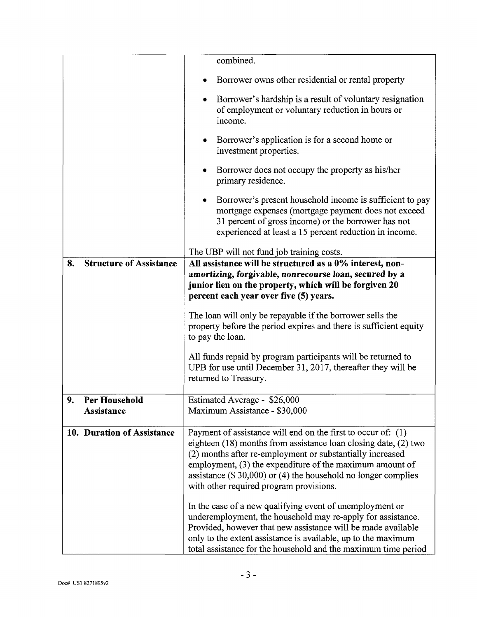|                                         | combined.                                                                                                                                                                                                                                                                                                                                                                |  |
|-----------------------------------------|--------------------------------------------------------------------------------------------------------------------------------------------------------------------------------------------------------------------------------------------------------------------------------------------------------------------------------------------------------------------------|--|
|                                         | Borrower owns other residential or rental property                                                                                                                                                                                                                                                                                                                       |  |
|                                         | Borrower's hardship is a result of voluntary resignation<br>٠<br>of employment or voluntary reduction in hours or<br>income.                                                                                                                                                                                                                                             |  |
|                                         | Borrower's application is for a second home or<br>$\bullet$<br>investment properties.                                                                                                                                                                                                                                                                                    |  |
|                                         | Borrower does not occupy the property as his/her<br>٠<br>primary residence.                                                                                                                                                                                                                                                                                              |  |
|                                         | Borrower's present household income is sufficient to pay<br>٠<br>mortgage expenses (mortgage payment does not exceed<br>31 percent of gross income) or the borrower has not<br>experienced at least a 15 percent reduction in income.                                                                                                                                    |  |
|                                         | The UBP will not fund job training costs.                                                                                                                                                                                                                                                                                                                                |  |
| <b>Structure of Assistance</b><br>8.    | All assistance will be structured as a 0% interest, non-<br>amortizing, forgivable, nonrecourse loan, secured by a<br>junior lien on the property, which will be forgiven 20<br>percent each year over five (5) years.                                                                                                                                                   |  |
|                                         | The loan will only be repayable if the borrower sells the<br>property before the period expires and there is sufficient equity<br>to pay the loan.                                                                                                                                                                                                                       |  |
|                                         | All funds repaid by program participants will be returned to<br>UPB for use until December 31, 2017, thereafter they will be<br>returned to Treasury.                                                                                                                                                                                                                    |  |
| <b>Per Household</b><br>9<br>Assistance | Estimated Average - \$26,000<br>Maximum Assistance - \$30,000                                                                                                                                                                                                                                                                                                            |  |
| 10. Duration of Assistance              | Payment of assistance will end on the first to occur of: (1)<br>eighteen (18) months from assistance loan closing date, (2) two<br>(2) months after re-employment or substantially increased<br>employment, (3) the expenditure of the maximum amount of<br>assistance $(\$30,000)$ or $(4)$ the household no longer complies<br>with other required program provisions. |  |
|                                         | In the case of a new qualifying event of unemployment or<br>underemployment, the household may re-apply for assistance.<br>Provided, however that new assistance will be made available<br>only to the extent assistance is available, up to the maximum<br>total assistance for the household and the maximum time period                                               |  |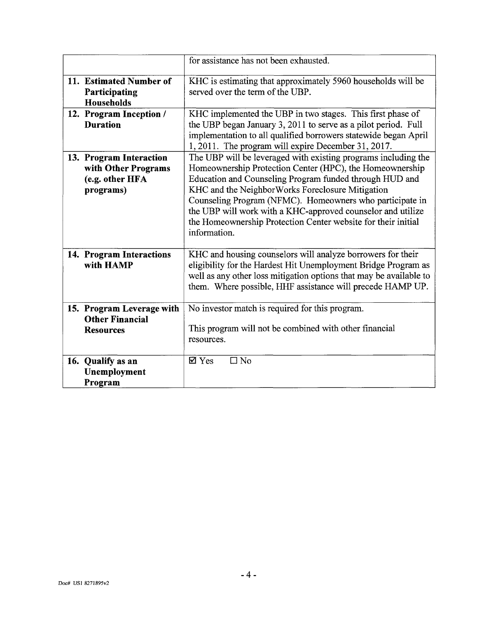|                                                                                | for assistance has not been exhausted.                                                                                                                                                                                                                                                                                                                                                                                                                |
|--------------------------------------------------------------------------------|-------------------------------------------------------------------------------------------------------------------------------------------------------------------------------------------------------------------------------------------------------------------------------------------------------------------------------------------------------------------------------------------------------------------------------------------------------|
| 11. Estimated Number of<br>Participating<br>Households                         | KHC is estimating that approximately 5960 households will be<br>served over the term of the UBP.                                                                                                                                                                                                                                                                                                                                                      |
| 12. Program Inception /<br><b>Duration</b>                                     | KHC implemented the UBP in two stages. This first phase of<br>the UBP began January 3, 2011 to serve as a pilot period. Full<br>implementation to all qualified borrowers statewide began April<br>1, 2011. The program will expire December 31, 2017.                                                                                                                                                                                                |
| 13. Program Interaction<br>with Other Programs<br>(e.g. other HFA<br>programs) | The UBP will be leveraged with existing programs including the<br>Homeownership Protection Center (HPC), the Homeownership<br>Education and Counseling Program funded through HUD and<br>KHC and the NeighborWorks Foreclosure Mitigation<br>Counseling Program (NFMC). Homeowners who participate in<br>the UBP will work with a KHC-approved counselor and utilize<br>the Homeownership Protection Center website for their initial<br>information. |
| 14. Program Interactions<br>with HAMP                                          | KHC and housing counselors will analyze borrowers for their<br>eligibility for the Hardest Hit Unemployment Bridge Program as<br>well as any other loss mitigation options that may be available to<br>them. Where possible, HHF assistance will precede HAMP UP.                                                                                                                                                                                     |
| 15. Program Leverage with<br><b>Other Financial</b><br><b>Resources</b>        | No investor match is required for this program.<br>This program will not be combined with other financial<br>resources.                                                                                                                                                                                                                                                                                                                               |
| 16. Qualify as an<br>Unemployment<br>Program                                   | $\square$ No<br>$\boxtimes$ Yes                                                                                                                                                                                                                                                                                                                                                                                                                       |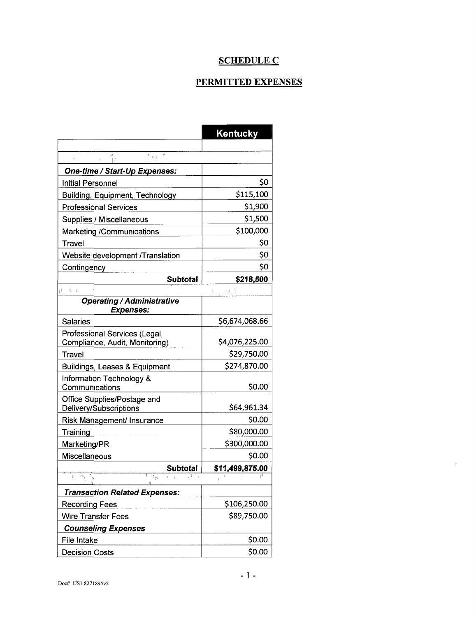# SCHEDULE C

# PERMITTED EXPENSES

|                                                                       | <b>Kentucky</b>       |  |
|-----------------------------------------------------------------------|-----------------------|--|
|                                                                       |                       |  |
| $\mathbf{v}$<br>$\overline{B}$ , $\overline{B}$ , $\overline{B}$<br>ŀ |                       |  |
| One-time / Start-Up Expenses:                                         |                       |  |
| <b>Initial Personnel</b>                                              | \$0                   |  |
| <b>Building, Equipment, Technology</b>                                | \$115,100             |  |
| <b>Professional Services</b>                                          | \$1,900               |  |
| Supplies / Miscellaneous                                              | \$1,500               |  |
| <b>Marketing /Communications</b>                                      | \$100,000             |  |
| Travel                                                                | \$0                   |  |
| Website development /Translation                                      | \$0                   |  |
| Contingency                                                           | \$0                   |  |
| <b>Subtotal</b>                                                       | \$218,500             |  |
| $d = \frac{2}{3} +$<br>$\mathfrak{k}$                                 | 北美 李<br>$\frac{1}{2}$ |  |
| <b>Operating / Administrative</b>                                     |                       |  |
| <b>Expenses:</b>                                                      | \$6,674,068.66        |  |
| <b>Salaries</b>                                                       |                       |  |
| Professional Services (Legal,<br>Compliance, Audit, Monitoring)       | \$4,076,225.00        |  |
| Travel                                                                | \$29,750.00           |  |
| <b>Buildings, Leases &amp; Equipment</b>                              | \$274,870.00          |  |
| Information Technology &                                              |                       |  |
| Communications                                                        | \$0.00                |  |
| Office Supplies/Postage and                                           |                       |  |
| Delivery/Subscriptions                                                | \$64,961.34           |  |
| Risk Management/ Insurance                                            | \$0.00                |  |
| Training                                                              | \$80,000.00           |  |
| Marketing/PR                                                          | \$300,000.00          |  |
| Miscellaneous                                                         | \$0.00                |  |
| <b>Subtotal</b><br>$f^{\frac{1}{m}}$<br>$F_{\mu}$<br>计                | \$11,499,875.00       |  |
|                                                                       |                       |  |
| <b>Transaction Related Expenses:</b>                                  |                       |  |
| <b>Recording Fees</b>                                                 | \$106,250.00          |  |
| <b>Wire Transfer Fees</b>                                             | \$89,750.00           |  |
| <b>Counseling Expenses</b>                                            |                       |  |
| File Intake                                                           | \$0.00                |  |
| <b>Decision Costs</b>                                                 | \$0.00                |  |

 $\tilde{\phantom{a}}$